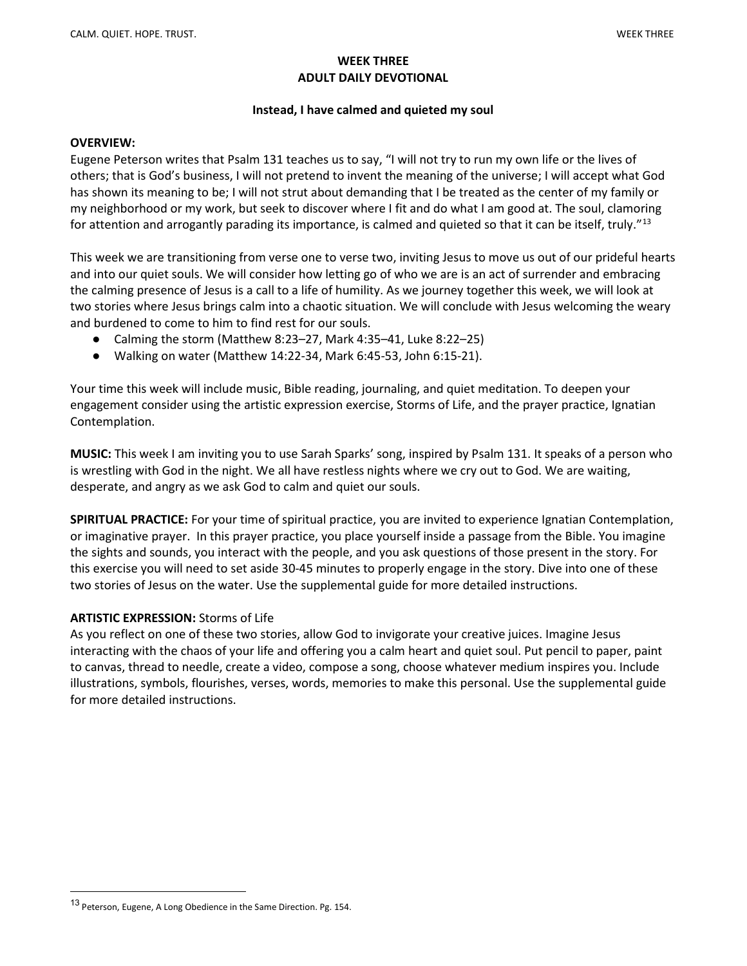## WEEK THREE ADULT DAILY DEVOTIONAL

# Instead, I have calmed and quieted my soul

## OVERVIEW:

Eugene Peterson writes that Psalm 131 teaches us to say, "I will not try to run my own life or the lives of others; that is God's business, I will not pretend to invent the meaning of the universe; I will accept what God has shown its meaning to be; I will not strut about demanding that I be treated as the center of my family or my neighborhood or my work, but seek to discover where I fit and do what I am good at. The soul, clamoring for attention and arrogantly parading its importance, is calmed and quieted so that it can be itself, truly."<sup>13</sup>

This week we are transitioning from verse one to verse two, inviting Jesus to move us out of our prideful hearts and into our quiet souls. We will consider how letting go of who we are is an act of surrender and embracing the calming presence of Jesus is a call to a life of humility. As we journey together this week, we will look at two stories where Jesus brings calm into a chaotic situation. We will conclude with Jesus welcoming the weary and burdened to come to him to find rest for our souls.

- Calming the storm (Matthew 8:23–27, Mark 4:35–41, Luke 8:22–25)
- Walking on water (Matthew 14:22-34, Mark 6:45-53, John 6:15-21).

Your time this week will include music, Bible reading, journaling, and quiet meditation. To deepen your engagement consider using the artistic expression exercise, Storms of Life, and the prayer practice, Ignatian Contemplation.

MUSIC: This week I am inviting you to use Sarah Sparks' song, inspired by Psalm 131. It speaks of a person who is wrestling with God in the night. We all have restless nights where we cry out to God. We are waiting, desperate, and angry as we ask God to calm and quiet our souls.

SPIRITUAL PRACTICE: For your time of spiritual practice, you are invited to experience Ignatian Contemplation, or imaginative prayer. In this prayer practice, you place yourself inside a passage from the Bible. You imagine the sights and sounds, you interact with the people, and you ask questions of those present in the story. For this exercise you will need to set aside 30-45 minutes to properly engage in the story. Dive into one of these two stories of Jesus on the water. Use the supplemental guide for more detailed instructions.

## ARTISTIC EXPRESSION: Storms of Life

As you reflect on one of these two stories, allow God to invigorate your creative juices. Imagine Jesus interacting with the chaos of your life and offering you a calm heart and quiet soul. Put pencil to paper, paint to canvas, thread to needle, create a video, compose a song, choose whatever medium inspires you. Include illustrations, symbols, flourishes, verses, words, memories to make this personal. Use the supplemental guide for more detailed instructions.

<sup>13</sup> Peterson, Eugene, A Long Obedience in the Same Direction. Pg. 154.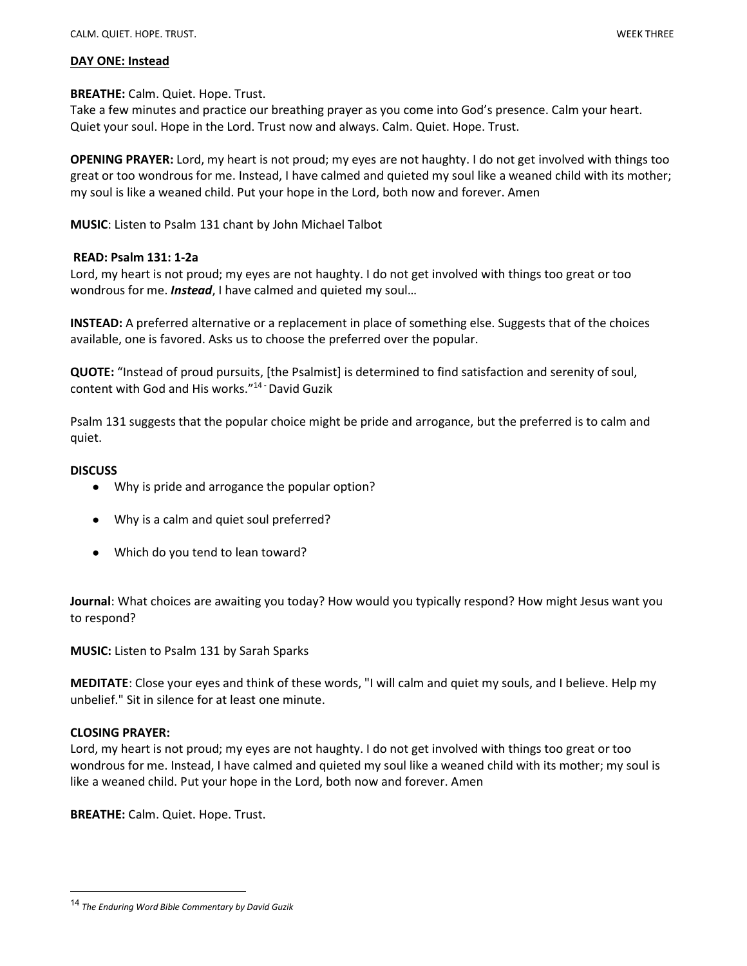#### DAY ONE: Instead

## BREATHE: Calm. Quiet. Hope. Trust.

Take a few minutes and practice our breathing prayer as you come into God's presence. Calm your heart. Quiet your soul. Hope in the Lord. Trust now and always. Calm. Quiet. Hope. Trust.

OPENING PRAYER: Lord, my heart is not proud; my eyes are not haughty. I do not get involved with things too great or too wondrous for me. Instead, I have calmed and quieted my soul like a weaned child with its mother; my soul is like a weaned child. Put your hope in the Lord, both now and forever. Amen

MUSIC: Listen to Psalm 131 chant by John Michael Talbot

## READ: Psalm 131: 1-2a

Lord, my heart is not proud; my eyes are not haughty. I do not get involved with things too great or too wondrous for me. **Instead**, I have calmed and quieted my soul...

INSTEAD: A preferred alternative or a replacement in place of something else. Suggests that of the choices available, one is favored. Asks us to choose the preferred over the popular.

QUOTE: "Instead of proud pursuits, [the Psalmist] is determined to find satisfaction and serenity of soul, content with God and His works."14 - David Guzik

Psalm 131 suggests that the popular choice might be pride and arrogance, but the preferred is to calm and quiet.

## **DISCUSS**

- Why is pride and arrogance the popular option?
- Why is a calm and quiet soul preferred?
- Which do you tend to lean toward?

Journal: What choices are awaiting you today? How would you typically respond? How might Jesus want you to respond?

MUSIC: Listen to Psalm 131 by Sarah Sparks

MEDITATE: Close your eyes and think of these words, "I will calm and quiet my souls, and I believe. Help my unbelief." Sit in silence for at least one minute.

## CLOSING PRAYER:

Lord, my heart is not proud; my eyes are not haughty. I do not get involved with things too great or too wondrous for me. Instead, I have calmed and quieted my soul like a weaned child with its mother; my soul is like a weaned child. Put your hope in the Lord, both now and forever. Amen

BREATHE: Calm. Quiet. Hope. Trust.

<sup>14</sup> The Enduring Word Bible Commentary by David Guzik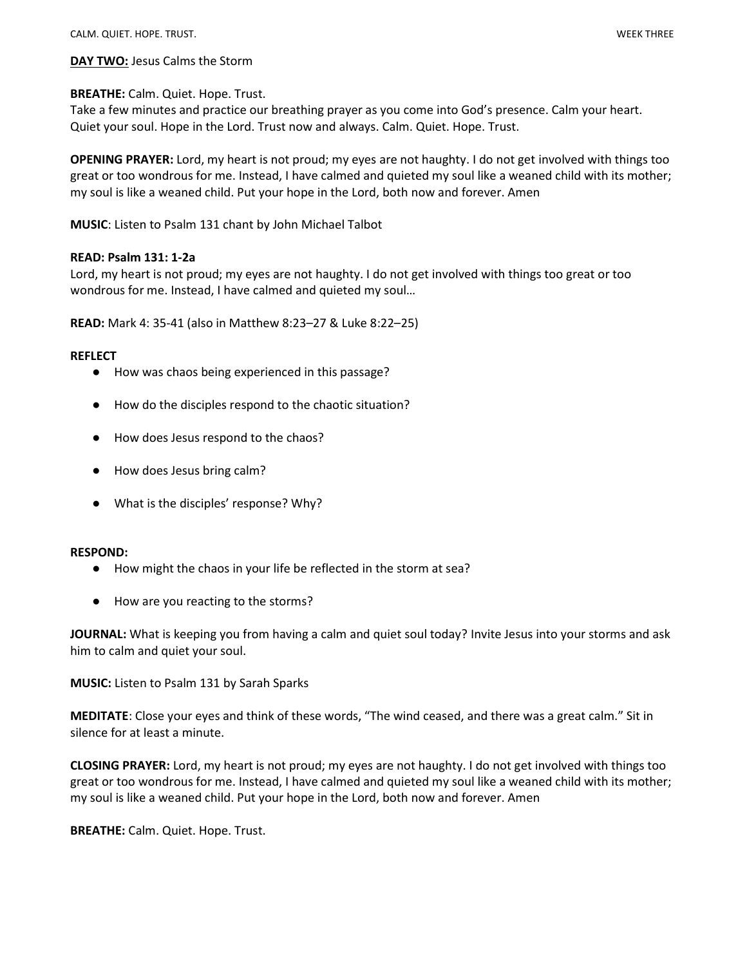DAY TWO: Jesus Calms the Storm

## BREATHE: Calm. Quiet. Hope. Trust.

Take a few minutes and practice our breathing prayer as you come into God's presence. Calm your heart. Quiet your soul. Hope in the Lord. Trust now and always. Calm. Quiet. Hope. Trust.

OPENING PRAYER: Lord, my heart is not proud; my eyes are not haughty. I do not get involved with things too great or too wondrous for me. Instead, I have calmed and quieted my soul like a weaned child with its mother; my soul is like a weaned child. Put your hope in the Lord, both now and forever. Amen

MUSIC: Listen to Psalm 131 chant by John Michael Talbot

## READ: Psalm 131: 1-2a

Lord, my heart is not proud; my eyes are not haughty. I do not get involved with things too great or too wondrous for me. Instead, I have calmed and quieted my soul…

READ: Mark 4: 35-41 (also in Matthew 8:23–27 & Luke 8:22–25)

#### **REFLECT**

- How was chaos being experienced in this passage?
- How do the disciples respond to the chaotic situation?
- How does Jesus respond to the chaos?
- How does Jesus bring calm?
- What is the disciples' response? Why?

#### RESPOND:

- How might the chaos in your life be reflected in the storm at sea?
- How are you reacting to the storms?

JOURNAL: What is keeping you from having a calm and quiet soul today? Invite Jesus into your storms and ask him to calm and quiet your soul.

MUSIC: Listen to Psalm 131 by Sarah Sparks

MEDITATE: Close your eyes and think of these words, "The wind ceased, and there was a great calm." Sit in silence for at least a minute.

CLOSING PRAYER: Lord, my heart is not proud; my eyes are not haughty. I do not get involved with things too great or too wondrous for me. Instead, I have calmed and quieted my soul like a weaned child with its mother; my soul is like a weaned child. Put your hope in the Lord, both now and forever. Amen

BREATHE: Calm. Quiet. Hope. Trust.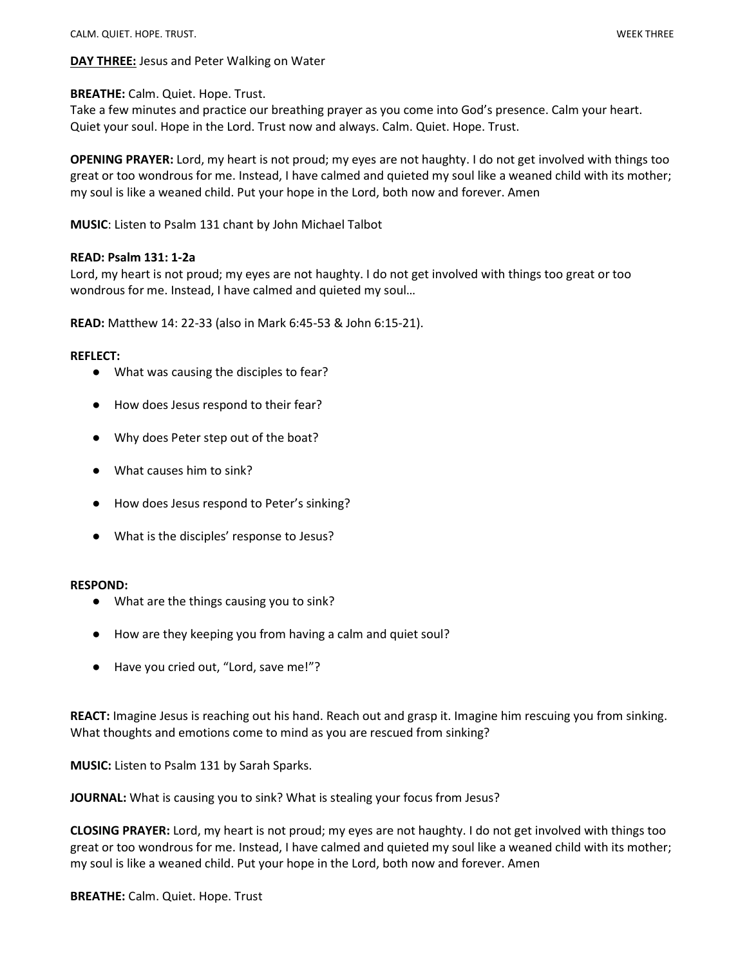DAY THREE: Jesus and Peter Walking on Water

## BREATHE: Calm. Quiet. Hope. Trust.

Take a few minutes and practice our breathing prayer as you come into God's presence. Calm your heart. Quiet your soul. Hope in the Lord. Trust now and always. Calm. Quiet. Hope. Trust.

OPENING PRAYER: Lord, my heart is not proud; my eyes are not haughty. I do not get involved with things too great or too wondrous for me. Instead, I have calmed and quieted my soul like a weaned child with its mother; my soul is like a weaned child. Put your hope in the Lord, both now and forever. Amen

MUSIC: Listen to Psalm 131 chant by John Michael Talbot

## READ: Psalm 131: 1-2a

Lord, my heart is not proud; my eyes are not haughty. I do not get involved with things too great or too wondrous for me. Instead, I have calmed and quieted my soul…

READ: Matthew 14: 22-33 (also in Mark 6:45-53 & John 6:15-21).

#### REFLECT:

- What was causing the disciples to fear?
- How does Jesus respond to their fear?
- Why does Peter step out of the boat?
- What causes him to sink?
- How does Jesus respond to Peter's sinking?
- What is the disciples' response to Jesus?

#### RESPOND:

- What are the things causing you to sink?
- How are they keeping you from having a calm and quiet soul?
- Have you cried out, "Lord, save me!"?

REACT: Imagine Jesus is reaching out his hand. Reach out and grasp it. Imagine him rescuing you from sinking. What thoughts and emotions come to mind as you are rescued from sinking?

MUSIC: Listen to Psalm 131 by Sarah Sparks.

JOURNAL: What is causing you to sink? What is stealing your focus from Jesus?

CLOSING PRAYER: Lord, my heart is not proud; my eyes are not haughty. I do not get involved with things too great or too wondrous for me. Instead, I have calmed and quieted my soul like a weaned child with its mother; my soul is like a weaned child. Put your hope in the Lord, both now and forever. Amen

BREATHE: Calm. Quiet. Hope. Trust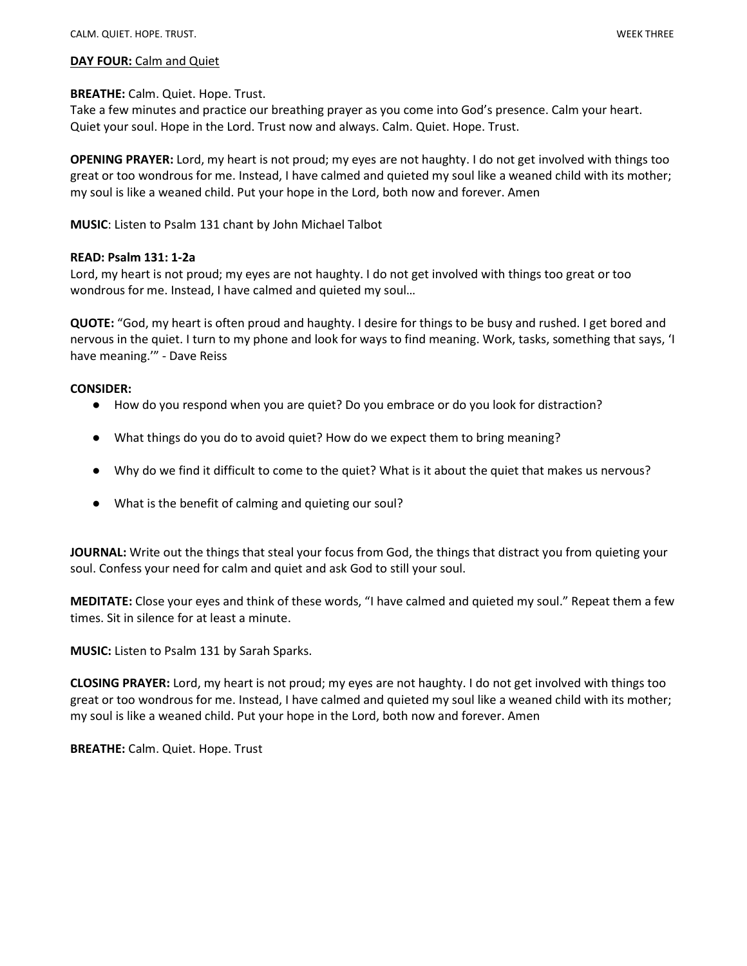#### DAY FOUR: Calm and Quiet

## BREATHE: Calm. Quiet. Hope. Trust.

Take a few minutes and practice our breathing prayer as you come into God's presence. Calm your heart. Quiet your soul. Hope in the Lord. Trust now and always. Calm. Quiet. Hope. Trust.

OPENING PRAYER: Lord, my heart is not proud; my eyes are not haughty. I do not get involved with things too great or too wondrous for me. Instead, I have calmed and quieted my soul like a weaned child with its mother; my soul is like a weaned child. Put your hope in the Lord, both now and forever. Amen

MUSIC: Listen to Psalm 131 chant by John Michael Talbot

## READ: Psalm 131: 1-2a

Lord, my heart is not proud; my eyes are not haughty. I do not get involved with things too great or too wondrous for me. Instead, I have calmed and quieted my soul…

QUOTE: "God, my heart is often proud and haughty. I desire for things to be busy and rushed. I get bored and nervous in the quiet. I turn to my phone and look for ways to find meaning. Work, tasks, something that says, 'I have meaning.'" - Dave Reiss

## CONSIDER:

- How do you respond when you are quiet? Do you embrace or do you look for distraction?
- What things do you do to avoid quiet? How do we expect them to bring meaning?
- Why do we find it difficult to come to the quiet? What is it about the quiet that makes us nervous?
- What is the benefit of calming and quieting our soul?

**JOURNAL:** Write out the things that steal your focus from God, the things that distract you from quieting your soul. Confess your need for calm and quiet and ask God to still your soul.

MEDITATE: Close your eyes and think of these words, "I have calmed and quieted my soul." Repeat them a few times. Sit in silence for at least a minute.

MUSIC: Listen to Psalm 131 by Sarah Sparks.

CLOSING PRAYER: Lord, my heart is not proud; my eyes are not haughty. I do not get involved with things too great or too wondrous for me. Instead, I have calmed and quieted my soul like a weaned child with its mother; my soul is like a weaned child. Put your hope in the Lord, both now and forever. Amen

BREATHE: Calm. Quiet. Hope. Trust